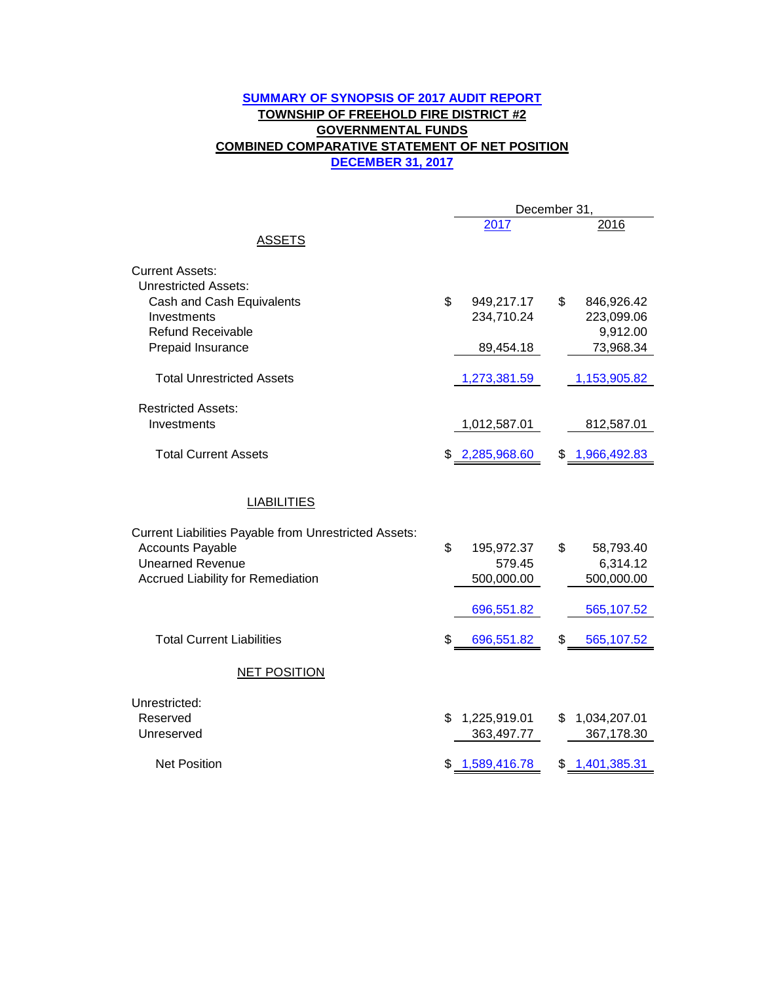### **DECEMBER 31, 2017 SUMMARY OF SYNOPSIS OF 2017 AUDIT REPORT TOWNSHIP OF FREEHOLD FIRE DISTRICT #2 GOVERNMENTAL FUNDS COMBINED COMPARATIVE STATEMENT OF NET POSITION**

|                                                                                                                                                                | December 31,                             |    |                                      |
|----------------------------------------------------------------------------------------------------------------------------------------------------------------|------------------------------------------|----|--------------------------------------|
| <b>ASSETS</b>                                                                                                                                                  | 2017                                     |    | 2016                                 |
| <b>Current Assets:</b><br><b>Unrestricted Assets:</b>                                                                                                          |                                          |    |                                      |
| Cash and Cash Equivalents<br>Investments<br><b>Refund Receivable</b>                                                                                           | \$<br>949,217.17<br>234,710.24           | \$ | 846,926.42<br>223,099.06<br>9,912.00 |
| Prepaid Insurance                                                                                                                                              | 89,454.18                                |    | 73,968.34                            |
| <b>Total Unrestricted Assets</b>                                                                                                                               | 1,273,381.59                             |    | 1,153,905.82                         |
| <b>Restricted Assets:</b><br>Investments                                                                                                                       | 1,012,587.01                             |    | 812,587.01                           |
| <b>Total Current Assets</b>                                                                                                                                    | \$2,285,968.60                           |    | \$1,966,492.83                       |
| <b>LIABILITIES</b>                                                                                                                                             |                                          |    |                                      |
| <b>Current Liabilities Payable from Unrestricted Assets:</b><br><b>Accounts Payable</b><br><b>Unearned Revenue</b><br><b>Accrued Liability for Remediation</b> | \$<br>195,972.37<br>579.45<br>500,000.00 | \$ | 58,793.40<br>6,314.12<br>500,000.00  |
|                                                                                                                                                                | 696,551.82                               |    | 565,107.52                           |
| <b>Total Current Liabilities</b>                                                                                                                               | \$<br>696,551.82                         | \$ | 565,107.52                           |
| <b>NET POSITION</b>                                                                                                                                            |                                          |    |                                      |
| Unrestricted:<br>Reserved<br>Unreserved                                                                                                                        | \$<br>1,225,919.01<br>363,497.77         | \$ | 1,034,207.01<br>367,178.30           |
| <b>Net Position</b>                                                                                                                                            | 1,589,416.78                             | \$ | 1,401,385.31                         |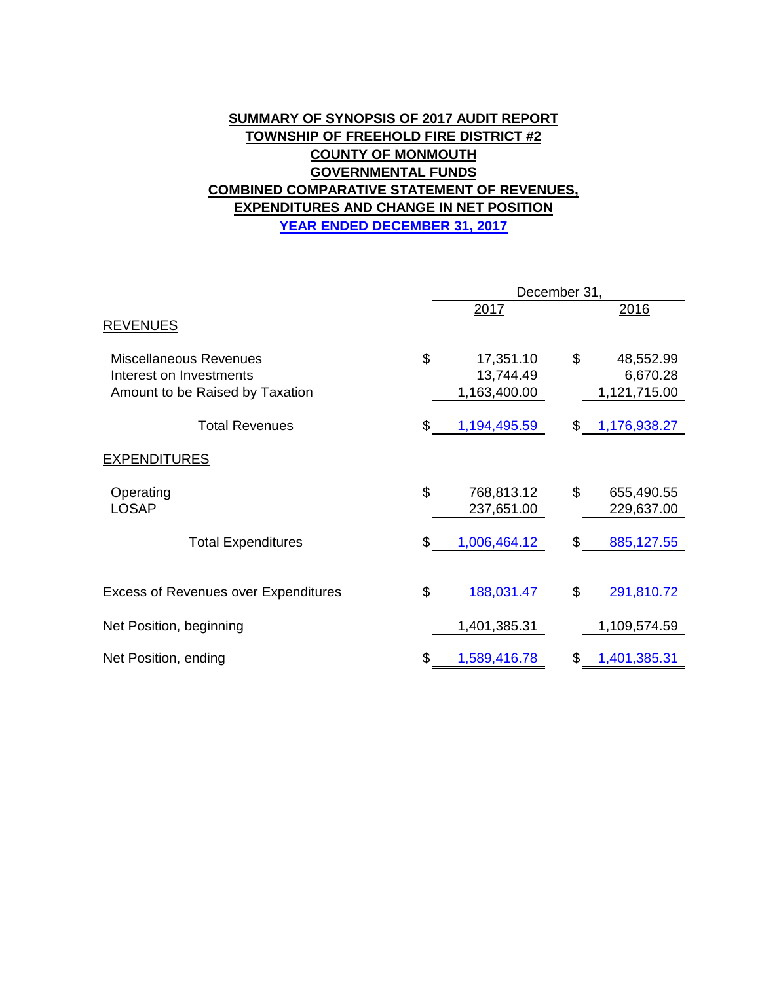## **COMBINED COMPARATIVE STATEMENT OF REVENUES, EXPENDITURES AND CHANGE IN NET POSITION SUMMARY OF SYNOPSIS OF 2017 AUDIT REPORT TOWNSHIP OF FREEHOLD FIRE DISTRICT #2 COUNTY OF MONMOUTH GOVERNMENTAL FUNDS YEAR ENDED DECEMBER 31, 2017**

|                                                                                      |    | December 31,                           |    |                                       |  |
|--------------------------------------------------------------------------------------|----|----------------------------------------|----|---------------------------------------|--|
| <b>REVENUES</b>                                                                      |    | 2017                                   |    | 2016                                  |  |
| Miscellaneous Revenues<br>Interest on Investments<br>Amount to be Raised by Taxation | \$ | 17,351.10<br>13,744.49<br>1,163,400.00 | \$ | 48,552.99<br>6,670.28<br>1,121,715.00 |  |
| <b>Total Revenues</b>                                                                | \$ | 1,194,495.59                           | \$ | 1,176,938.27                          |  |
| <b>EXPENDITURES</b>                                                                  |    |                                        |    |                                       |  |
| Operating<br><b>LOSAP</b>                                                            | \$ | 768,813.12<br>237,651.00               | \$ | 655,490.55<br>229,637.00              |  |
| <b>Total Expenditures</b>                                                            | \$ | 1,006,464.12                           | \$ | 885,127.55                            |  |
| <b>Excess of Revenues over Expenditures</b>                                          | \$ | 188,031.47                             | \$ | 291,810.72                            |  |
| Net Position, beginning                                                              |    | 1,401,385.31                           |    | 1,109,574.59                          |  |
| Net Position, ending                                                                 | S  | 1,589,416.78                           | S  | 1,401,385.31                          |  |